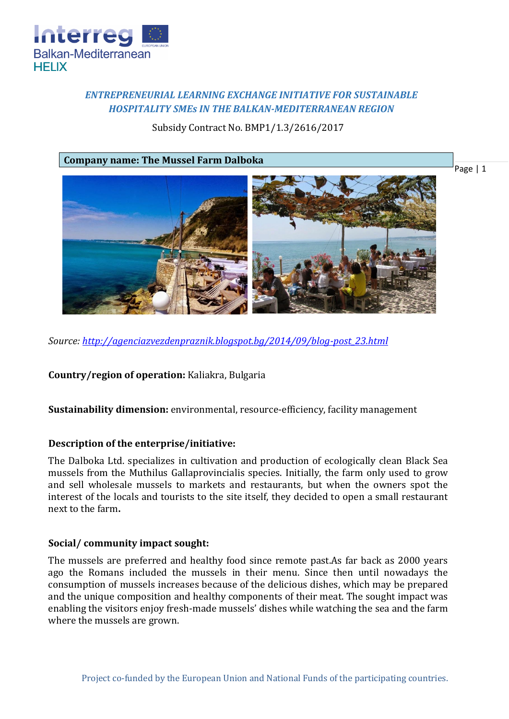

# *ENTREPRENEURIAL LEARNING EXCHANGE INITIATIVE FOR SUSTAINABLE HOSPITALITY SMEs IN THE BALKAN-MEDITERRANEAN REGION*

Subsidy Contract No. BMP1/1.3/2616/2017

**Company name: The Mussel Farm Dalboka**



*Source: [http://agenciazvezdenpraznik.blogspot.bg/2014/09/blog-post\\_23.html](http://agenciazvezdenpraznik.blogspot.bg/2014/09/blog-post_23.html)*

**Country/region of operation:** Kaliakra, Bulgaria

**Sustainability dimension:** environmental, resource-efficiency, facility management

#### **Description of the enterprise/initiative:**

The Dalboka Ltd. specializes in cultivation and production of ecologically clean Black Sea mussels from the Muthilus Gallaprovincialis species. Initially, the farm only used to grow and sell wholesale mussels to markets and restaurants, but when the owners spot the interest of the locals and tourists to the site itself, they decided to open a small restaurant next to the farm**.**

#### **Social/ community impact sought:**

The mussels are preferred and healthy food since remote past.As far back as 2000 years ago the Romans included the mussels in their menu. Since then until nowadays the consumption of mussels increases because of the delicious dishes, which may be prepared and the unique composition and healthy components of their meat. The sought impact was enabling the visitors enjoy fresh-made mussels' dishes while watching the sea and the farm where the mussels are grown.

Page | 1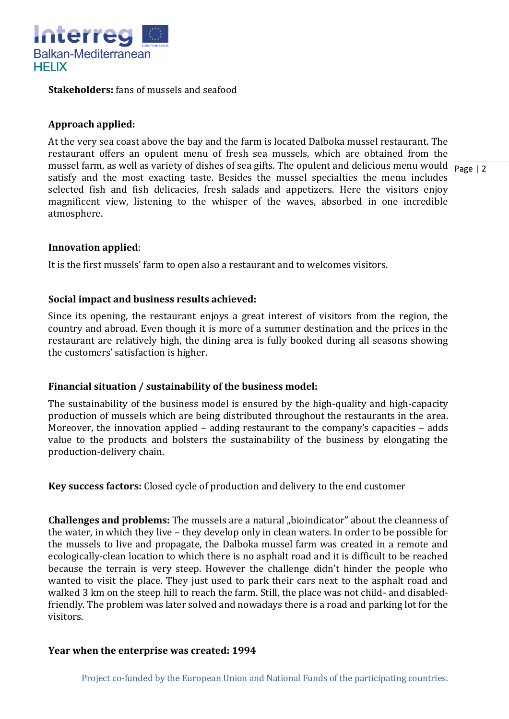

**Stakeholders:** fans of mussels and seafood

# **Approach applied:**

mussel farm, as well as variety of dishes of sea gifts. The opulent and delicious menu would  $\frac{1}{\text{Page } |2}$ At the very sea coast above the bay and the farm is located Dalboka mussel restaurant. The restaurant offers an opulent menu of fresh sea mussels, which are obtained from the satisfy and the most exacting taste. Besides the mussel specialties the menu includes selected fish and fish delicacies, fresh salads and appetizers. Here the visitors enjoy magnificent view, listening to the whisper of the waves, absorbed in one incredible atmosphere.

## **Innovation applied**:

It is the first mussels' farm to open also a restaurant and to welcomes visitors.

## **Social impact and business results achieved:**

Since its opening, the restaurant enjoys a great interest of visitors from the region, the country and abroad. Even though it is more of a summer destination and the prices in the restaurant are relatively high, the dining area is fully booked during all seasons showing the customers' satisfaction is higher.

## **Financial situation / sustainability of the business model:**

The sustainability of the business model is ensured by the high-quality and high-capacity production of mussels which are being distributed throughout the restaurants in the area. Moreover, the innovation applied – adding restaurant to the company's capacities – adds value to the products and bolsters the sustainability of the business by elongating the production-delivery chain.

**Key success factors:** Closed cycle of production and delivery to the end customer

**Challenges and problems:** The mussels are a natural "bioindicator" about the cleanness of the water, in which they live – they develop only in clean waters. In order to be possible for the mussels to live and propagate, the Dalboka mussel farm was created in a remote and ecologically-clean location to which there is no asphalt road and it is difficult to be reached because the terrain is very steep. However the challenge didn't hinder the people who wanted to visit the place. They just used to park their cars next to the asphalt road and walked 3 km on the steep hill to reach the farm. Still, the place was not child- and disabledfriendly. The problem was later solved and nowadays there is a road and parking lot for the visitors.

## **Year when the enterprise was created: 1994**